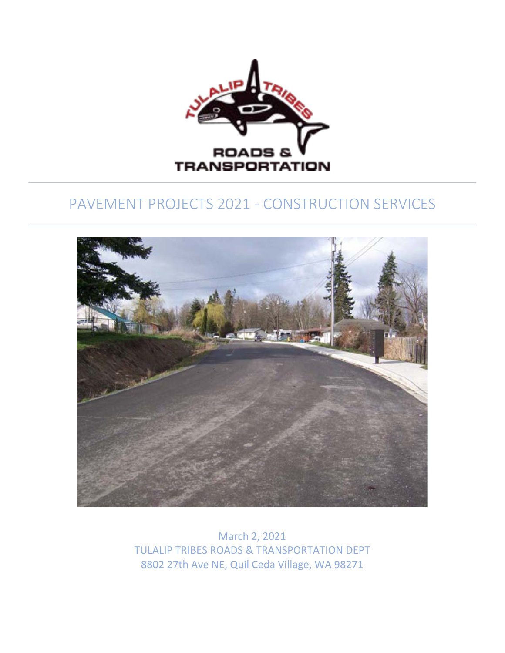

# PAVEMENT PROJECTS 2021 - CONSTRUCTION SERVICES



March 2, 2021 TULALIP TRIBES ROADS & TRANSPORTATION DEPT 8802 27th Ave NE, Quil Ceda Village, WA 98271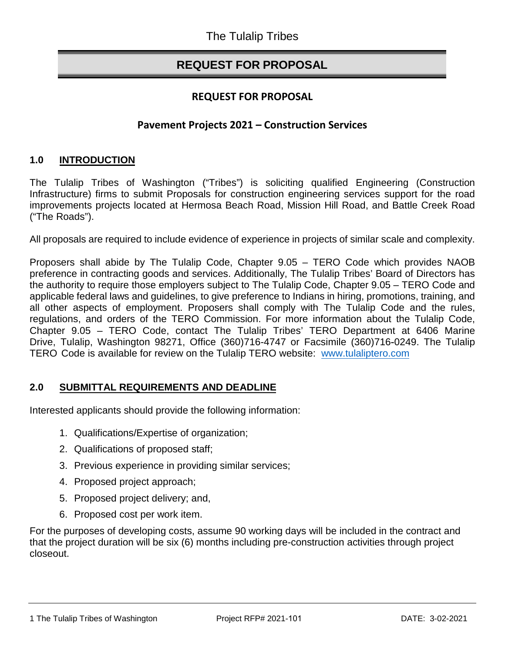# **REQUEST FOR PROPOSAL**

# **REQUEST FOR PROPOSAL**

#### **Pavement Projects 2021 – Construction Services**

#### **1.0 INTRODUCTION**

The Tulalip Tribes of Washington ("Tribes") is soliciting qualified Engineering (Construction Infrastructure) firms to submit Proposals for construction engineering services support for the road improvements projects located at Hermosa Beach Road, Mission Hill Road, and Battle Creek Road ("The Roads").

All proposals are required to include evidence of experience in projects of similar scale and complexity.

Proposers shall abide by The Tulalip Code, Chapter 9.05 – TERO Code which provides NAOB preference in contracting goods and services. Additionally, The Tulalip Tribes' Board of Directors has the authority to require those employers subject to The Tulalip Code, Chapter 9.05 – TERO Code and applicable federal laws and guidelines, to give preference to Indians in hiring, promotions, training, and all other aspects of employment. Proposers shall comply with The Tulalip Code and the rules, regulations, and orders of the TERO Commission. For more information about the Tulalip Code, Chapter 9.05 – TERO Code, contact The Tulalip Tribes' TERO Department at 6406 Marine Drive, Tulalip, Washington 98271, Office (360)716-4747 or Facsimile (360)716-0249. The Tulalip TERO Code is available for review on the Tulalip TERO [website: www.tulalipte](http://www.tulaliptero.com/)ro.com

#### **2.0 SUBMITTAL REQUIREMENTS AND DEADLINE**

Interested applicants should provide the following information:

- 1. Qualifications/Expertise of organization;
- 2. Qualifications of proposed staff;
- 3. Previous experience in providing similar services;
- 4. Proposed project approach;
- 5. Proposed project delivery; and,
- 6. Proposed cost per work item.

For the purposes of developing costs, assume 90 working days will be included in the contract and that the project duration will be six (6) months including pre-construction activities through project closeout.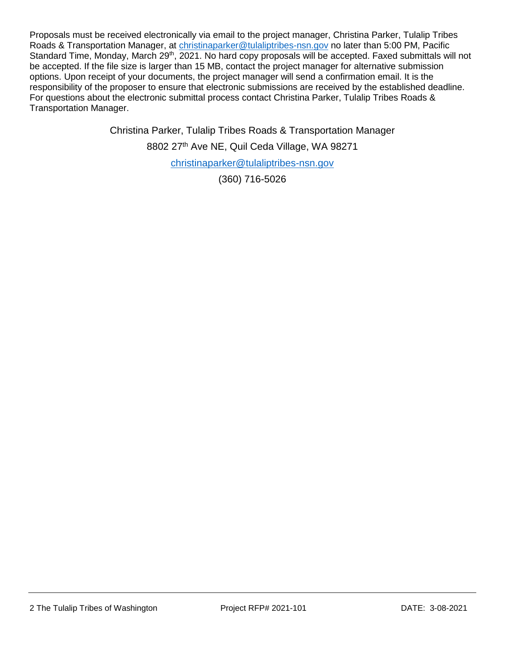Proposals must be received electronically via email to the project manager, Christina Parker, Tulalip Tribes Roads & Transportation Manager, at [christinaparker@tulaliptribes-nsn.gov](mailto:christinaparker@tulaliptribes-nsn.gov) no later than 5:00 PM, Pacific Standard Time, Monday, March 29<sup>th</sup>, 2021. No hard copy proposals will be accepted. Faxed submittals will not be accepted. If the file size is larger than 15 MB, contact the project manager for alternative submission options. Upon receipt of your documents, the project manager will send a confirmation email. It is the responsibility of the proposer to ensure that electronic submissions are received by the established deadline. For questions about the electronic submittal process contact Christina Parker, Tulalip Tribes Roads & Transportation Manager.

Christina Parker, Tulalip Tribes Roads & Transportation Manager

8802 27<sup>th</sup> Ave NE, Quil Ceda Village, WA 98271

[christinaparker@tulaliptribes-nsn.gov](mailto:christinaparker@tulaliptribes-nsn.gov)

(360) 716-5026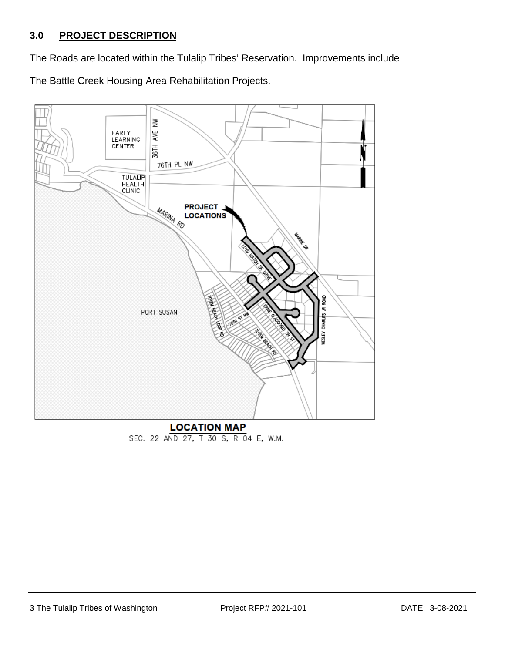### **3.0 PROJECT DESCRIPTION**

The Roads are located within the Tulalip Tribes' Reservation. Improvements include The Battle Creek Housing Area Rehabilitation Projects.



SEC. 22 AND 27, T 30 S, R 04 E, W.M.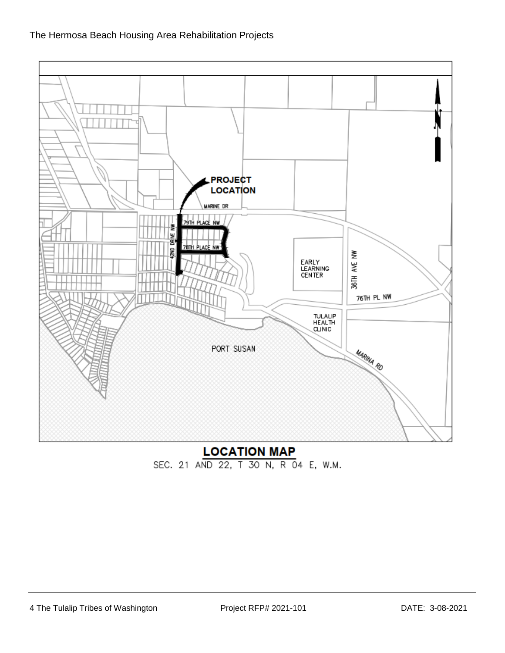

**LOCATION MAP** SEC. 21 AND 22, T 30 N, R 04 E, W.M.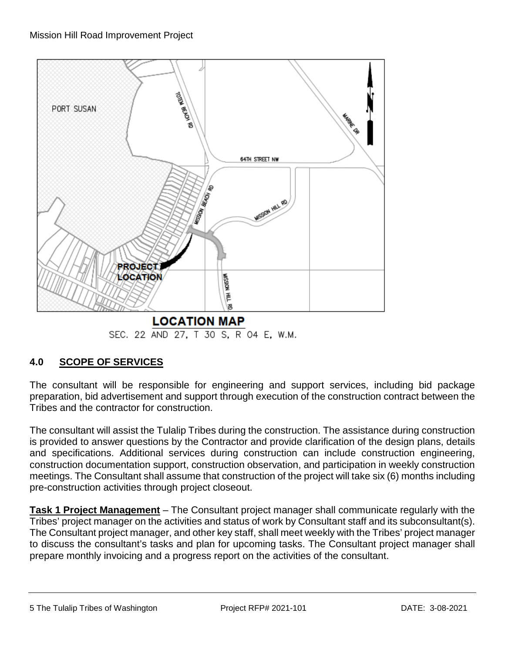

# **4.0 SCOPE OF SERVICES**

The consultant will be responsible for engineering and support services, including bid package preparation, bid advertisement and support through execution of the construction contract between the Tribes and the contractor for construction.

The consultant will assist the Tulalip Tribes during the construction. The assistance during construction is provided to answer questions by the Contractor and provide clarification of the design plans, details and specifications. Additional services during construction can include construction engineering, construction documentation support, construction observation, and participation in weekly construction meetings. The Consultant shall assume that construction of the project will take six (6) months including pre-construction activities through project closeout.

**Task 1 Project Management** – The Consultant project manager shall communicate regularly with the Tribes' project manager on the activities and status of work by Consultant staff and its subconsultant(s). The Consultant project manager, and other key staff, shall meet weekly with the Tribes' project manager to discuss the consultant's tasks and plan for upcoming tasks. The Consultant project manager shall prepare monthly invoicing and a progress report on the activities of the consultant.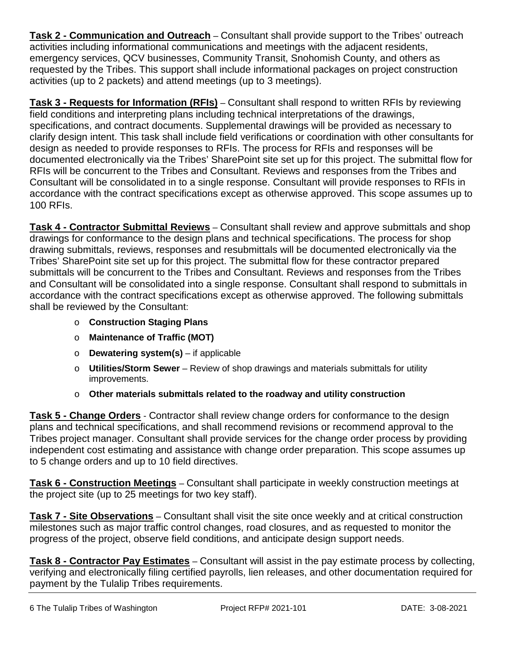**Task 2 - Communication and Outreach** – Consultant shall provide support to the Tribes' outreach activities including informational communications and meetings with the adjacent residents, emergency services, QCV businesses, Community Transit, Snohomish County, and others as requested by the Tribes. This support shall include informational packages on project construction activities (up to 2 packets) and attend meetings (up to 3 meetings).

**Task 3 - Requests for Information (RFIs)** – Consultant shall respond to written RFIs by reviewing field conditions and interpreting plans including technical interpretations of the drawings, specifications, and contract documents. Supplemental drawings will be provided as necessary to clarify design intent. This task shall include field verifications or coordination with other consultants for design as needed to provide responses to RFIs. The process for RFIs and responses will be documented electronically via the Tribes' SharePoint site set up for this project. The submittal flow for RFIs will be concurrent to the Tribes and Consultant. Reviews and responses from the Tribes and Consultant will be consolidated in to a single response. Consultant will provide responses to RFIs in accordance with the contract specifications except as otherwise approved. This scope assumes up to 100 RFIs.

**Task 4 - Contractor Submittal Reviews** – Consultant shall review and approve submittals and shop drawings for conformance to the design plans and technical specifications. The process for shop drawing submittals, reviews, responses and resubmittals will be documented electronically via the Tribes' SharePoint site set up for this project. The submittal flow for these contractor prepared submittals will be concurrent to the Tribes and Consultant. Reviews and responses from the Tribes and Consultant will be consolidated into a single response. Consultant shall respond to submittals in accordance with the contract specifications except as otherwise approved. The following submittals shall be reviewed by the Consultant:

- o **Construction Staging Plans**
- o **Maintenance of Traffic (MOT)**
- o **Dewatering system(s)**  if applicable
- o **Utilities/Storm Sewer** Review of shop drawings and materials submittals for utility improvements.
- o **Other materials submittals related to the roadway and utility construction**

**Task 5 - Change Orders** - Contractor shall review change orders for conformance to the design plans and technical specifications, and shall recommend revisions or recommend approval to the Tribes project manager. Consultant shall provide services for the change order process by providing independent cost estimating and assistance with change order preparation. This scope assumes up to 5 change orders and up to 10 field directives.

**Task 6 - Construction Meetings** – Consultant shall participate in weekly construction meetings at the project site (up to 25 meetings for two key staff).

**Task 7 - Site Observations** – Consultant shall visit the site once weekly and at critical construction milestones such as major traffic control changes, road closures, and as requested to monitor the progress of the project, observe field conditions, and anticipate design support needs.

**Task 8 - Contractor Pay Estimates** – Consultant will assist in the pay estimate process by collecting, verifying and electronically filing certified payrolls, lien releases, and other documentation required for payment by the Tulalip Tribes requirements.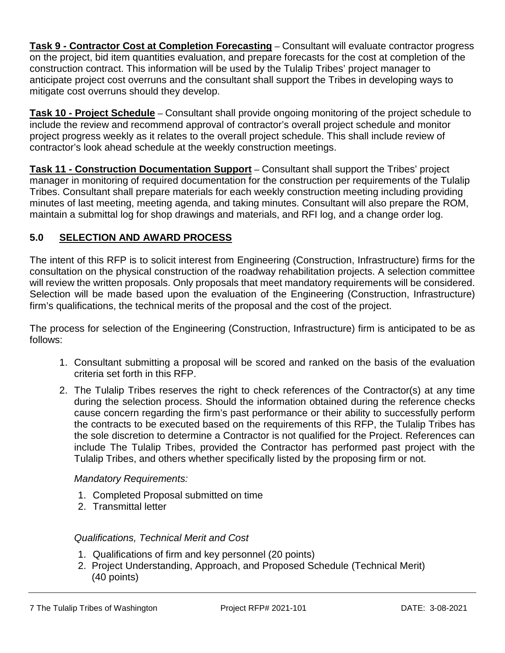**Task 9 - Contractor Cost at Completion Forecasting** – Consultant will evaluate contractor progress on the project, bid item quantities evaluation, and prepare forecasts for the cost at completion of the construction contract. This information will be used by the Tulalip Tribes' project manager to anticipate project cost overruns and the consultant shall support the Tribes in developing ways to mitigate cost overruns should they develop.

**Task 10 - Project Schedule** – Consultant shall provide ongoing monitoring of the project schedule to include the review and recommend approval of contractor's overall project schedule and monitor project progress weekly as it relates to the overall project schedule. This shall include review of contractor's look ahead schedule at the weekly construction meetings.

**Task 11 - Construction Documentation Support** – Consultant shall support the Tribes' project manager in monitoring of required documentation for the construction per requirements of the Tulalip Tribes. Consultant shall prepare materials for each weekly construction meeting including providing minutes of last meeting, meeting agenda, and taking minutes. Consultant will also prepare the ROM, maintain a submittal log for shop drawings and materials, and RFI log, and a change order log.

# **5.0 SELECTION AND AWARD PROCESS**

The intent of this RFP is to solicit interest from Engineering (Construction, Infrastructure) firms for the consultation on the physical construction of the roadway rehabilitation projects. A selection committee will review the written proposals. Only proposals that meet mandatory requirements will be considered. Selection will be made based upon the evaluation of the Engineering (Construction, Infrastructure) firm's qualifications, the technical merits of the proposal and the cost of the project.

The process for selection of the Engineering (Construction, Infrastructure) firm is anticipated to be as follows:

- 1. Consultant submitting a proposal will be scored and ranked on the basis of the evaluation criteria set forth in this RFP.
- 2. The Tulalip Tribes reserves the right to check references of the Contractor(s) at any time during the selection process. Should the information obtained during the reference checks cause concern regarding the firm's past performance or their ability to successfully perform the contracts to be executed based on the requirements of this RFP, the Tulalip Tribes has the sole discretion to determine a Contractor is not qualified for the Project. References can include The Tulalip Tribes, provided the Contractor has performed past project with the Tulalip Tribes, and others whether specifically listed by the proposing firm or not.

#### *Mandatory Requirements:*

- 1. Completed Proposal submitted on time
- 2. Transmittal letter

#### *Qualifications, Technical Merit and Cost*

- 1. Qualifications of firm and key personnel (20 points)
- 2. Project Understanding, Approach, and Proposed Schedule (Technical Merit) (40 points)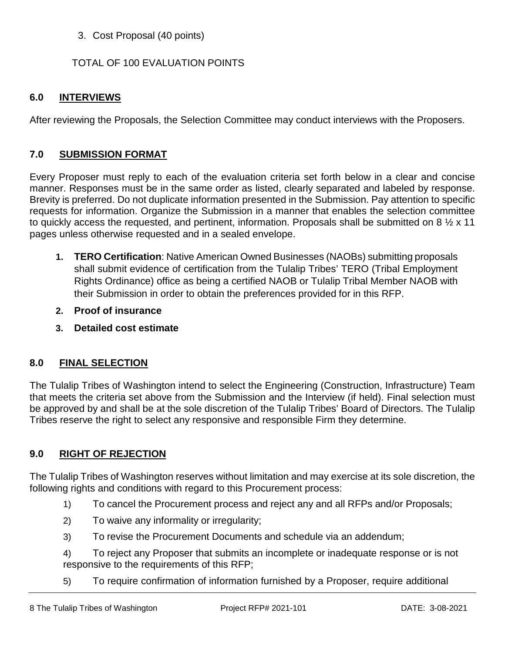#### 3. Cost Proposal (40 points)

#### TOTAL OF 100 EVALUATION POINTS

#### **6.0 INTERVIEWS**

After reviewing the Proposals, the Selection Committee may conduct interviews with the Proposers.

#### **7.0 SUBMISSION FORMAT**

Every Proposer must reply to each of the evaluation criteria set forth below in a clear and concise manner. Responses must be in the same order as listed, clearly separated and labeled by response. Brevity is preferred. Do not duplicate information presented in the Submission. Pay attention to specific requests for information. Organize the Submission in a manner that enables the selection committee to quickly access the requested, and pertinent, information. Proposals shall be submitted on 8  $\frac{1}{2}$  x 11 pages unless otherwise requested and in a sealed envelope.

- **1. TERO Certification**: Native American Owned Businesses (NAOBs) submitting proposals shall submit evidence of certification from the Tulalip Tribes' TERO (Tribal Employment Rights Ordinance) office as being a certified NAOB or Tulalip Tribal Member NAOB with their Submission in order to obtain the preferences provided for in this RFP.
- **2. Proof of insurance**
- **3. Detailed cost estimate**

#### **8.0 FINAL SELECTION**

The Tulalip Tribes of Washington intend to select the Engineering (Construction, Infrastructure) Team that meets the criteria set above from the Submission and the Interview (if held). Final selection must be approved by and shall be at the sole discretion of the Tulalip Tribes' Board of Directors. The Tulalip Tribes reserve the right to select any responsive and responsible Firm they determine.

#### **9.0 RIGHT OF REJECTION**

The Tulalip Tribes of Washington reserves without limitation and may exercise at its sole discretion, the following rights and conditions with regard to this Procurement process:

- 1) To cancel the Procurement process and reject any and all RFPs and/or Proposals;
- 2) To waive any informality or irregularity;
- 3) To revise the Procurement Documents and schedule via an addendum;

4) To reject any Proposer that submits an incomplete or inadequate response or is not responsive to the requirements of this RFP;

5) To require confirmation of information furnished by a Proposer, require additional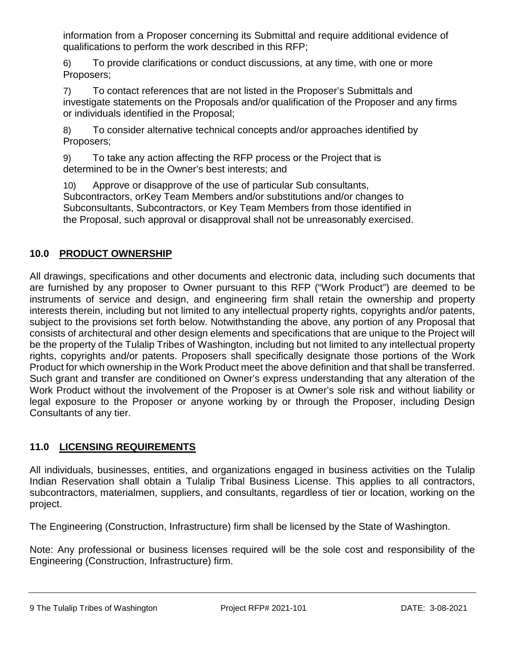information from a Proposer concerning its Submittal and require additional evidence of qualifications to perform the work described in this RFP;

6) To provide clarifications or conduct discussions, at any time, with one or more Proposers;

7) To contact references that are not listed in the Proposer's Submittals and investigate statements on the Proposals and/or qualification of the Proposer and any firms or individuals identified in the Proposal;

8) To consider alternative technical concepts and/or approaches identified by Proposers;

9) To take any action affecting the RFP process or the Project that is determined to be in the Owner's best interests; and

10) Approve or disapprove of the use of particular Sub consultants, Subcontractors, orKey Team Members and/or substitutions and/or changes to Subconsultants, Subcontractors, or Key Team Members from those identified in the Proposal, such approval or disapproval shall not be unreasonably exercised.

# **10.0 PRODUCT OWNERSHIP**

All drawings, specifications and other documents and electronic data, including such documents that are furnished by any proposer to Owner pursuant to this RFP ("Work Product") are deemed to be instruments of service and design, and engineering firm shall retain the ownership and property interests therein, including but not limited to any intellectual property rights, copyrights and/or patents, subject to the provisions set forth below. Notwithstanding the above, any portion of any Proposal that consists of architectural and other design elements and specifications that are unique to the Project will be the property of the Tulalip Tribes of Washington, including but not limited to any intellectual property rights, copyrights and/or patents. Proposers shall specifically designate those portions of the Work Product for which ownership in the Work Product meet the above definition and that shall be transferred. Such grant and transfer are conditioned on Owner's express understanding that any alteration of the Work Product without the involvement of the Proposer is at Owner's sole risk and without liability or legal exposure to the Proposer or anyone working by or through the Proposer, including Design Consultants of any tier.

# **11.0 LICENSING REQUIREMENTS**

All individuals, businesses, entities, and organizations engaged in business activities on the Tulalip Indian Reservation shall obtain a Tulalip Tribal Business License. This applies to all contractors, subcontractors, materialmen, suppliers, and consultants, regardless of tier or location, working on the project.

The Engineering (Construction, Infrastructure) firm shall be licensed by the State of Washington.

Note: Any professional or business licenses required will be the sole cost and responsibility of the Engineering (Construction, Infrastructure) firm.

9 The Tulalip Tribes of Washington **Project RFP# 2021-101** DATE: 3-08-2021